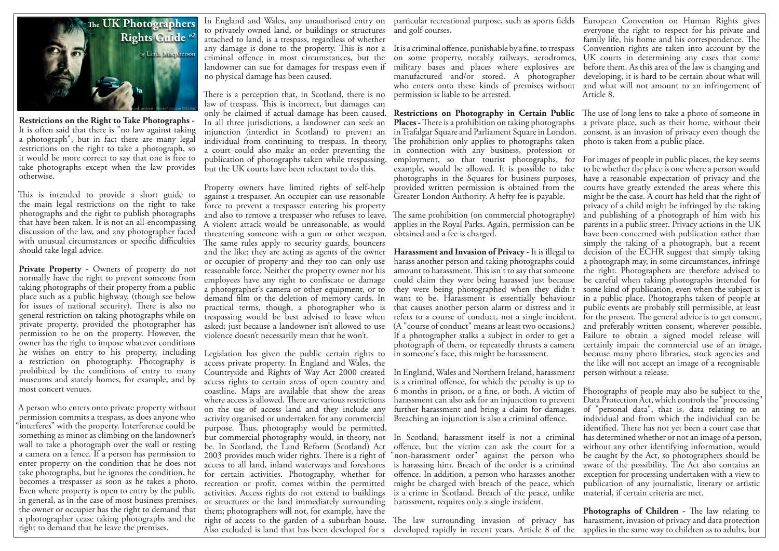

**Restrictions on the Right to Take Photographs -** It is often said that there is "no law against taking a photograph", but in fact there are many legal restrictions on the right to take a photograph, so it would be more correct to say that one is free to take photographs except when the law provides otherwise.

This is intended to provide a short guide to the main legal restrictions on the right to take photographs and the right to publish photographs that have been taken. It is not an all-encompassing discussion of the law, and any photographer faced with unusual circumstances or specific difficulties should take legal advice.

Private Property - Owners of property do not normally have the right to prevent someone from taking photographs of their property from a public place such as a public highway, (though see below for issues of national security). There is also no general restriction on taking photographs while on private property, provided the photographer has permission to be on the property. However, the owner has the right to impose whatever conditions he wishes on entry to his property, including a restriction on photography. Photography is prohibited by the conditions of entry to many museums and stately homes, for example, and by most concert venues.

A person who enters onto private property without permission commits a trespass, as does anyone who interferes" with the property. Interference could be something as minor as climbing on the landowner's wall to take a photograph over the wall or resting a camera on a fence. If a person has permission to enter property on the condition that he does not take photographs, but he ignores the condition, he becomes a trespasser as soon as he takes a photo. Even where property is open to entry by the public in general, as in the case of most business premises, the owner or occupier has the right to demand that a photographer cease taking photographs and the right to demand that he leave the premises.

In England and Wales, any unauthorised entry on to privately owned land, or buildings or structures attached to land, is a trespass, regardless of whether criminal offence in most circumstances, but the landowner can sue for damages for trespass even if no physical damage has been caused.

There is a perception that, in Scotland, there is no law of trespass. This is incorrect, but damages can only be claimed if actual damage has been caused. In all three jurisdictions, a landowner can seek an injunction (interdict in Scotland) to prevent an individual from continuing to trespass. In theory, a court could also make an order preventing the publication of photographs taken while trespassing, but the UK courts have been reluctant to do this.

Property owners have limited rights of self-help against a trespasser. An occupier can use reasonable force to prevent a trespasser entering his property and also to remove a trespasser who refuses to leave. A violent attack would be unreasonable, as would threatening someone with a gun or other weapon. The same rules apply to security guards, bouncers and the like; they are acting as agents of the owner or occupier of property and they too can only use reasonable force. Neither the property owner nor his employees have any right to confiscate or damage a photographer's camera or other equipment, or to demand film or the deletion of memory cards. In practical terms, though, a photographer who is trespassing would be best advised to leave when asked; just because a landowner isn't allowed to use violence doesn't necessarily mean that he won't.

Legislation has given the public certain rights to access private property. In England and Wales, the Countryside and Rights of Way Act 2000 created access rights to certain areas of open country and coastline. Maps are available that show the areas where access is allowed. There are various restrictions on the use of access land and they include any activity organised or undertaken for any commercial purpose. Thus, photography would be permitted, but commercial photography would, in theory, not be. In Scotland, the Land Reform (Scotland) Act access to all land, inland waterways and foreshores for certain activities. Photography, whether for recreation or profit, comes within the permitted activities. Access rights do not extend to buildings or structures or the land immediately surrounding them; photographers will not, for example, have the right of access to the garden of a suburban house. Also excluded is land that has been developed for a

particular recreational purpose, such as sports fields and golf courses.

any damage is done to the property. This is not a It is a criminal offence, punishable by a fine, to trespass on some property, notably railways, aerodromes, military bases and places where explosives are manufactured and/or stored. A photographer who enters onto these kinds of premises without and what will not amount to an infringement of permission is liable to be arrested.

> **Restrictions on Photography in Certain Public**  The use of long lens to take a photo of someone in **Places -** There is a prohibition on taking photographs in Trafalgar Square and Parliament Square in London. The prohibition only applies to photographs taken in connection with any business, profession or employment, so that tourist photographs, for For images of people in public places, the key seems example, would be allowed. It is possible to take photographs in the Squares for business purposes, provided written permission is obtained from the Greater London Authority. A hefty fee is payable.

The same prohibition (on commercial photography) applies in the Royal Parks. Again, permission can be obtained and a fee is charged.

**Harassment and Invasion of Privacy -** It is illegal to harass another person and taking photographs could amount to harassment. This isn't to say that someone could claim they were being harassed just because they were being photographed when they didn't want to be. Harassment is essentially behaviour in a public place. Photographs taken of people at that causes another person alarm or distress and it refers to a course of conduct, not a single incident. (A "course of conduct" means at least two occasions.) If a photographer stalks a subject in order to get a photograph of them, or repeatedly thrusts a camera in someone's face, this might be harassment.

In England, Wales and Northern Ireland, harassment is a criminal offence, for which the penalty is up to 6 months in prison, or a fine, or both. A victim of harassment can also ask for an injunction to prevent further harassment and bring a claim for damages. Breaching an injunction is also a criminal offence.

2003 provides much wider rights. There is a right of "non-harassment order" against the person who In Scotland, harassment itself is not a criminal offence, but the victim can ask the court for a is harassing him. Breach of the order is a criminal offence. In addition, a person who harasses another might be charged with breach of the peace, which is a crime in Scotland. Breach of the peace, unlike harassment, requires only a single incident.

> The law surrounding invasion of privacy has harassment, invasion of privacy and data protection developed rapidly in recent years. Article 8 of the

European Convention on Human Rights gives everyone the right to respect for his private and family life, his home and his correspondence. The Convention rights are taken into account by the UK courts in determining any cases that come before them. As this area of the law is changing and developing, it is hard to be certain about what will Article 8.

a private place, such as their home, without their consent, is an invasion of privacy even though the photo is taken from a public place.

to be whether the place is one where a person would have a reasonable expectation of privacy and the courts have greatly extended the areas where this might be the case. A court has held that the right of privacy of a child might be infringed by the taking and publishing of a photograph of him with his parents in a public street. Privacy actions in the UK have been concerned with publication rather than simply the taking of a photograph, but a recent decision of the ECHR suggest that simply taking a photograph may, in some circumstances, infringe the right. Photographers are therefore advised to be careful when taking photographs intended for some kind of publication, even when the subject is public events are probably still permissible, at least for the present. The general advice is to get consent, and preferably written consent, wherever possible. Failure to obtain a signed model release will certainly impair the commercial use of an image, because many photo libraries, stock agencies and the like will not accept an image of a recognisable person without a release.

Photographs of people may also be subject to the Data Protection Act, which controls the "processing" of "personal data", that is, data relating to an individual and from which the individual can be identified. There has not yet been a court case that has determined whether or not an image of a person, without any other identifying information, would be caught by the Act, so photographers should be aware of the possibility. The Act also contains an exception for processing undertaken with a view to publication of any journalistic, literary or artistic material, if certain criteria are met.

**Photographs of Children -** The law relating to applies in the same way to children as to adults, but